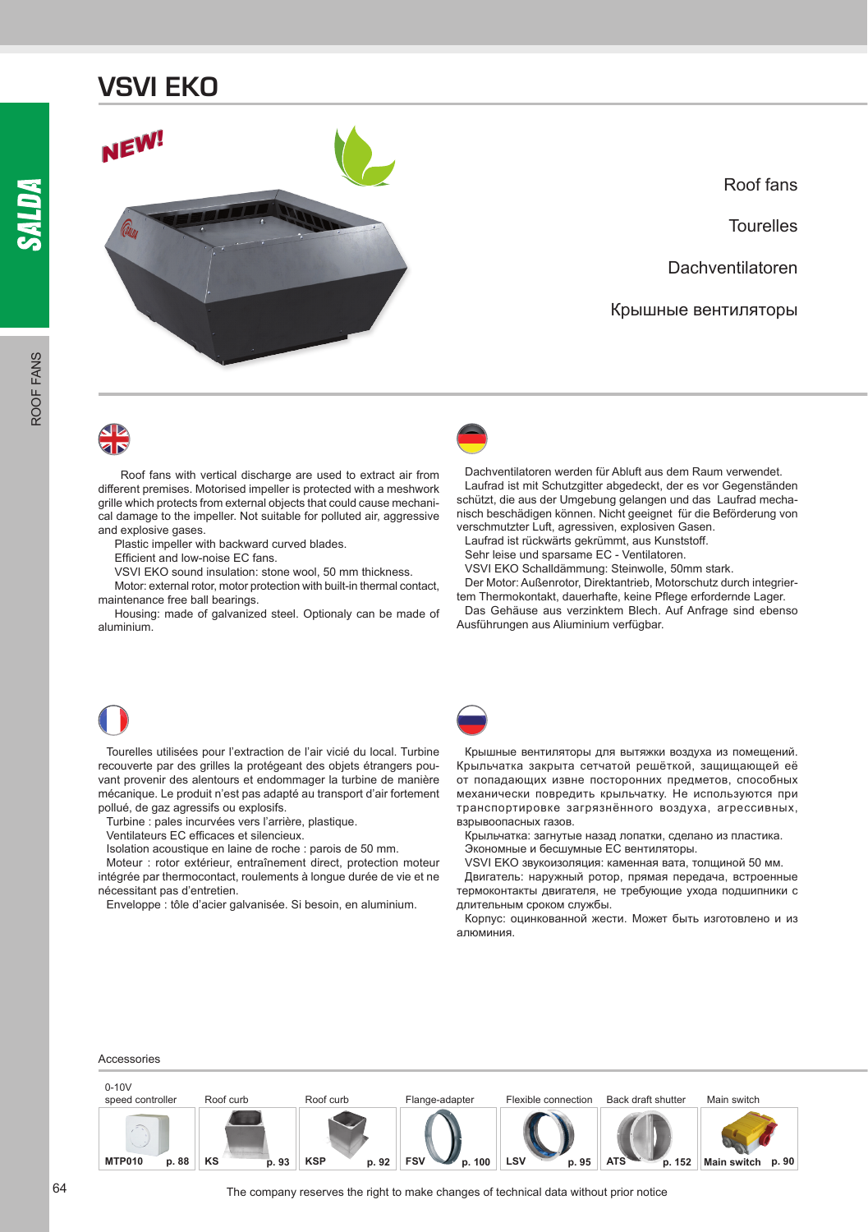

Roof fans

**Tourelles** 

Dachventilatoren

Крышные вентиляторы

Roof fans with vertical discharge are used to extract air from different premises. Motorised impeller is protected with a meshwork grille which protects from external objects that could cause mechanical damage to the impeller. Not suitable for polluted air, aggressive and explosive gases.

Plastic impeller with backward curved blades.

Efficient and low-noise EC fans.

VSVI EKO sound insulation: stone wool, 50 mm thickness.

Motor: external rotor, motor protection with built-in thermal contact, maintenance free ball bearings.

Housing: made of galvanized steel. Optionaly can be made of aluminium.



Dachventilatoren werden für Abluft aus dem Raum verwendet. Laufrad ist mit Schutzgitter abgedeckt, der es vor Gegenständen schützt, die aus der Umgebung gelangen und das Laufrad mechanisch beschädigen können. Nicht geeignet für die Beförderung von verschmutzter Luft, agressiven, explosiven Gasen.

Laufrad ist rückwärts gekrümmt, aus Kunststoff.

Sehr leise und sparsame EC - Ventilatoren.

VSVI EKO Schalldämmung: Steinwolle, 50mm stark.

Der Motor: Außenrotor, Direktantrieb, Motorschutz durch integrier-

tem Thermokontakt, dauerhafte, keine Pflege erfordernde Lager. Das Gehäuse aus verzinktem Blech. Auf Anfrage sind ebenso Ausführungen aus Aliuminium verfügbar.

Tourelles utilisées pour l'extraction de l'air vicié du local. Turbine recouverte par des grilles la protégeant des objets étrangers pouvant provenir des alentours et endommager la turbine de manière mécanique. Le produit n'est pas adapté au transport d'air fortement pollué, de gaz agressifs ou explosifs.

Turbine : pales incurvées vers l'arrière, plastique.

Ventilateurs EC efficaces et silencieux.

Isolation acoustique en laine de roche : parois de 50 mm.

Moteur : rotor extérieur, entraînement direct, protection moteur intégrée par thermocontact, roulements à longue durée de vie et ne nécessitant pas d'entretien.

Enveloppe : tôle d'acier galvanisée. Si besoin, en aluminium.



Крышные вентиляторы для вытяжки воздуха из помещений. Крыльчатка закрыта сетчатой решёткой, защищающей её от попадающих извне посторонних предметов, способных механически повредить крыльчатку. Не используются при транспортировке загрязнённого воздуха, агрессивных, взрывоопасных газов.

Крыльчатка: загнутые назад лопатки, сделано из пластика.

Экономные и бесшумные EC вентиляторы.

VSVI EKO звукоизоляция: каменная вата, толщиной 50 мм.

Двигатель: наружный ротор, прямая передача, встроенные термоконтакты двигателя, не требующие ухода подшипники с длительным сроком службы.

Корпус: оцинкованной жести. Может быть изготовлено и из алюминия.

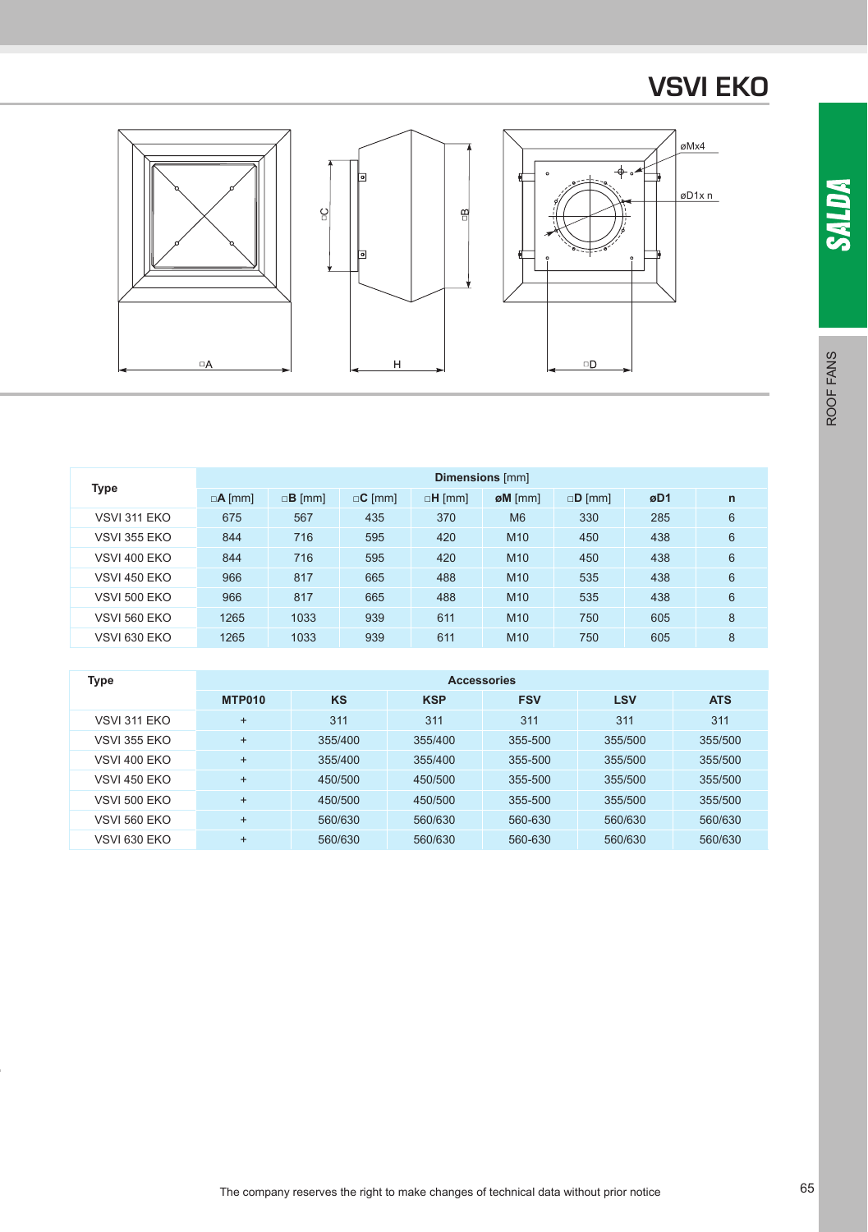



 $\mathbb{R}$ 



| <b>Type</b>         |                      |                      |               | <b>Dimensions</b> [mm] |                    |               |     |              |
|---------------------|----------------------|----------------------|---------------|------------------------|--------------------|---------------|-----|--------------|
|                     | $\Box$ <b>A</b> [mm] | $\Box$ <b>B</b> [mm] | $\Box$ C [mm] | $\Box H$ [mm]          | $\emptyset$ M [mm] | $\Box$ D [mm] | øD1 | $\mathsf{n}$ |
| VSVI 311 EKO        | 675                  | 567                  | 435           | 370                    | M <sub>6</sub>     | 330           | 285 | 6            |
| <b>VSVI 355 EKO</b> | 844                  | 716                  | 595           | 420                    | M <sub>10</sub>    | 450           | 438 | 6            |
| <b>VSVI 400 EKO</b> | 844                  | 716                  | 595           | 420                    | M <sub>10</sub>    | 450           | 438 | 6            |
| <b>VSVI 450 EKO</b> | 966                  | 817                  | 665           | 488                    | M <sub>10</sub>    | 535           | 438 | 6            |
| <b>VSVI 500 EKO</b> | 966                  | 817                  | 665           | 488                    | M <sub>10</sub>    | 535           | 438 | 6            |
| <b>VSVI 560 EKO</b> | 1265                 | 1033                 | 939           | 611                    | M <sub>10</sub>    | 750           | 605 | 8            |
| <b>VSVI 630 EKO</b> | 1265                 | 1033                 | 939           | 611                    | M <sub>10</sub>    | 750           | 605 | 8            |

| <b>Type</b>         | <b>Accessories</b> |           |            |            |            |            |  |  |  |  |  |  |
|---------------------|--------------------|-----------|------------|------------|------------|------------|--|--|--|--|--|--|
|                     | <b>MTP010</b>      | <b>KS</b> | <b>KSP</b> | <b>FSV</b> | <b>LSV</b> | <b>ATS</b> |  |  |  |  |  |  |
| <b>VSVI 311 FKO</b> | $\ddot{}$          | 311       | 311        | 311        | 311        | 311        |  |  |  |  |  |  |
| <b>VSVI 355 FKO</b> | $\ddot{}$          | 355/400   | 355/400    | 355-500    | 355/500    | 355/500    |  |  |  |  |  |  |
| <b>VSVI 400 FKO</b> | $\ddot{}$          | 355/400   | 355/400    | 355-500    | 355/500    | 355/500    |  |  |  |  |  |  |
| <b>VSVI 450 FKO</b> | $\ddot{}$          | 450/500   | 450/500    | 355-500    | 355/500    | 355/500    |  |  |  |  |  |  |
| VSVI 500 FKO        | $\ddot{}$          | 450/500   | 450/500    | 355-500    | 355/500    | 355/500    |  |  |  |  |  |  |
| <b>VSVI 560 EKO</b> | $\ddot{}$          | 560/630   | 560/630    | 560-630    | 560/630    | 560/630    |  |  |  |  |  |  |
| <b>VSVI 630 EKO</b> | $\ddot{}$          | 560/630   | 560/630    | 560-630    | 560/630    | 560/630    |  |  |  |  |  |  |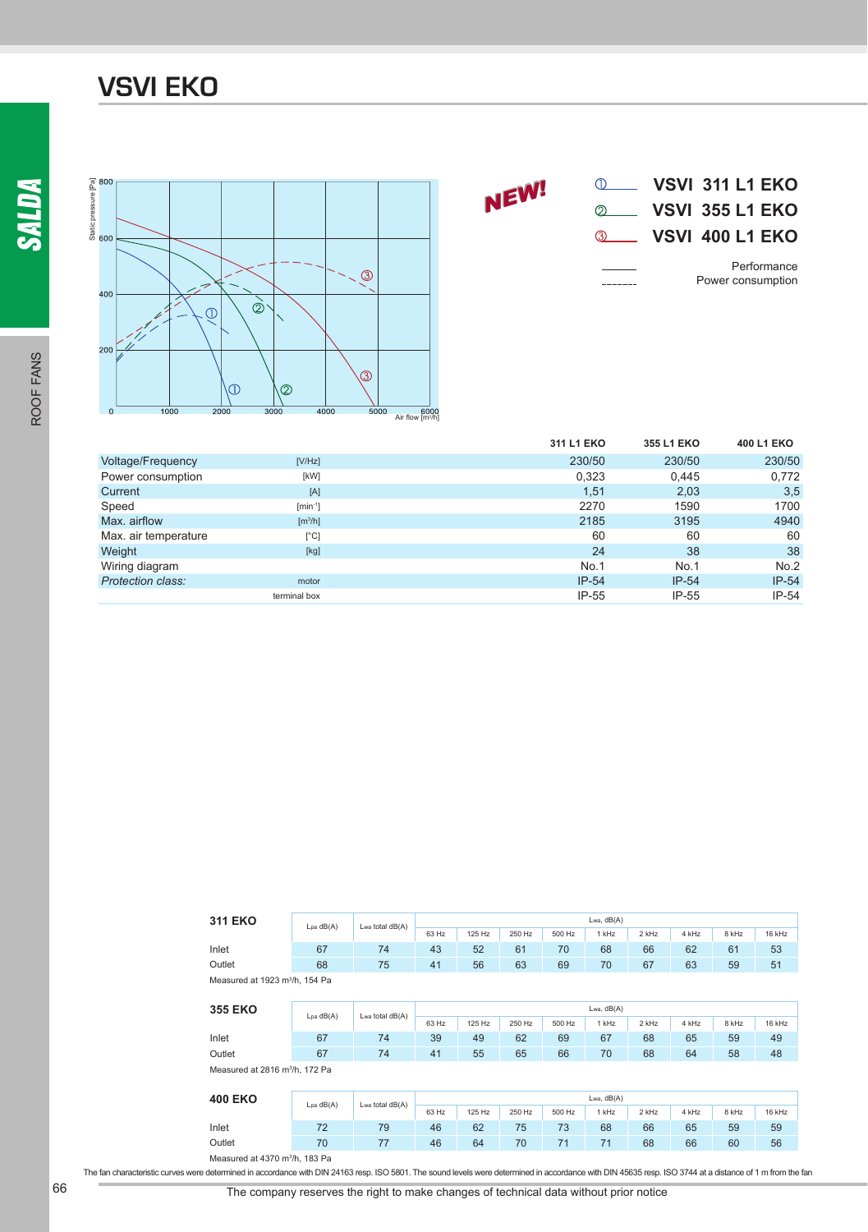ROOF FANS

ROOF FANS





|                      |                              | 311 L1 EKO | 355 L1 EKO | 400 L1 EKO |
|----------------------|------------------------------|------------|------------|------------|
| Voltage/Frequency    | [V/Hz]                       | 230/50     | 230/50     | 230/50     |
| Power consumption    | [kW]                         | 0,323      | 0.445      | 0,772      |
| Current              | [A]                          | 1,51       | 2,03       | 3,5        |
| Speed                | $[min^{-1}]$                 | 2270       | 1590       | 1700       |
| Max. airflow         | $\left[\frac{m^3}{h}\right]$ | 2185       | 3195       | 4940       |
| Max. air temperature | $[^{\circ}C]$                | 60         | 60         | 60         |
| Weight               | [kg]                         | 24         | 38         | 38         |
| Wiring diagram       |                              | No.1       | No.1       | No.2       |
| Protection class:    | motor                        | $IP-54$    | $IP-54$    | $IP-54$    |
|                      | terminal box                 | $IP-55$    | $IP-55$    | $IP-54$    |

| <b>311 EKO</b>                             | Lpa dB(A) | Lwa total dB(A) | Lwa, $dB(A)$ |        |        |        |       |       |       |       |        |
|--------------------------------------------|-----------|-----------------|--------------|--------|--------|--------|-------|-------|-------|-------|--------|
|                                            |           |                 | 63 Hz        | 125 Hz | 250 Hz | 500 Hz | 1 kHz | 2 kHz | 4 kHz | 8 kHz | 16 kHz |
| Inlet                                      | 67        | 74              | 43           | 52     | 61     | 70     | 68    | 66    | 62    | 61    | 53     |
| Outlet                                     | 68        | 75              | 41           | 56     | 63     | 69     | 70    | 67    | 63    | 59    | 51     |
| Measured at 1923 m <sup>3</sup> /h, 154 Pa |           |                 |              |        |        |        |       |       |       |       |        |

| <b>355 EKO</b>                             |                                            | Lwa total dB(A) |       | Lwa, $dB(A)$ |        |        |              |       |       |       |        |  |
|--------------------------------------------|--------------------------------------------|-----------------|-------|--------------|--------|--------|--------------|-------|-------|-------|--------|--|
|                                            | $Lpa$ $dB(A)$                              |                 | 63 Hz | 125 Hz       | 250 Hz | 500 Hz | 1 kHz        | 2 kHz | 4 kHz | 8 kHz | 16 kHz |  |
| Inlet                                      | 67                                         | 74              | 39    | 49           | 62     | 69     | 67           | 68    | 65    | 59    | 49     |  |
| Outlet                                     | 67                                         | 74              | 41    | 55           | 65     | 66     | 70           | 68    | 64    | 58    | 48     |  |
| Measured at 2816 m <sup>3</sup> /h, 172 Pa |                                            |                 |       |              |        |        |              |       |       |       |        |  |
|                                            |                                            |                 |       |              |        |        |              |       |       |       |        |  |
| <b>400 EKO</b>                             | Lpa dB(A)                                  | Lwa total dB(A) |       |              |        |        | Lwa, $dB(A)$ |       |       |       |        |  |
|                                            |                                            |                 | 63 Hz | 125 Hz       | 250 Hz | 500 Hz | 1 kHz        | 2 kHz | 4 kHz | 8 kHz | 16 kHz |  |
| Inlet                                      | 72                                         | 79              | 46    | 62           | 75     | 73     | 68           | 66    | 65    | 59    | 59     |  |
| Outlet                                     | 70                                         | 77              | 46    | 64           | 70     | 71     | 71           | 68    | 66    | 60    | 56     |  |
|                                            | Measured at 4370 m <sup>3</sup> /h, 183 Pa |                 |       |              |        |        |              |       |       |       |        |  |

The fan characteristic curves were determined in accordance with DIN 24163 resp. ISO 5801. The sound levels were determined in accordance with DIN 45635 resp. ISO 3744 at a distance of 1 m from the fan

66 The company reserves the right to make changes of technical data without prior notice